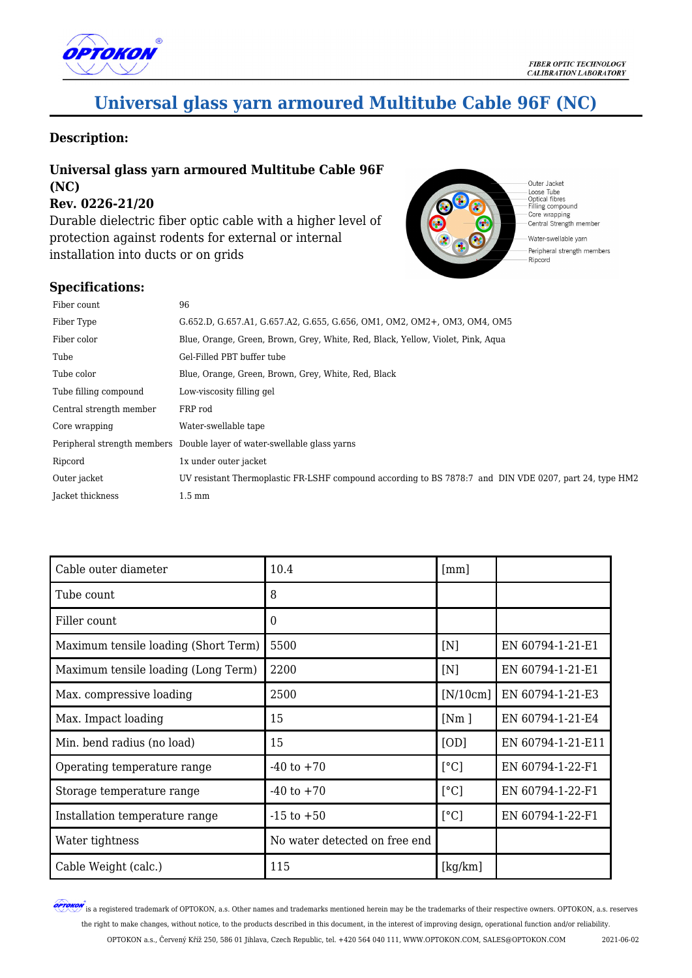

# **Universal glass yarn armoured Multitube Cable 96F (NC)**

### **Description:**

## **Universal glass yarn armoured Multitube Cable 96F (NC)**

**Rev. 0226-21/20**

Durable dielectric fiber optic cable with a higher level of protection against rodents for external or internal installation into ducts or on grids





Outer Jacket Loose Tube<br>Optical fibres<br>Filling compound Core wrapping Central Strength member

Water-swellable yarn Peripheral strength members Ripcord

| Fiber count             | 96                                                                                                     |
|-------------------------|--------------------------------------------------------------------------------------------------------|
| Fiber Type              | G.652.D, G.657.A1, G.657.A2, G.655, G.656, OM1, OM2, OM2+, OM3, OM4, OM5                               |
| Fiber color             | Blue, Orange, Green, Brown, Grey, White, Red, Black, Yellow, Violet, Pink, Agua                        |
| Tube                    | Gel-Filled PBT buffer tube                                                                             |
| Tube color              | Blue, Orange, Green, Brown, Grey, White, Red, Black                                                    |
| Tube filling compound   | Low-viscosity filling gel                                                                              |
| Central strength member | FRP rod                                                                                                |
| Core wrapping           | Water-swellable tape                                                                                   |
|                         | Peripheral strength members Double layer of water-swellable glass varms                                |
| Ripcord                 | 1x under outer jacket                                                                                  |
| Outer jacket            | UV resistant Thermoplastic FR-LSHF compound according to BS 7878:7 and DIN VDE 0207, part 24, type HM2 |
| Jacket thickness        | $1.5 \text{ mm}$                                                                                       |

| Cable outer diameter                 | 10.4                          | $\lceil mm \rceil$ |                   |
|--------------------------------------|-------------------------------|--------------------|-------------------|
| Tube count                           | 8                             |                    |                   |
| Filler count                         | $\overline{0}$                |                    |                   |
| Maximum tensile loading (Short Term) | 5500                          | [N]                | EN 60794-1-21-E1  |
| Maximum tensile loading (Long Term)  | 2200                          | [N]                | EN 60794-1-21-E1  |
| Max. compressive loading             | 2500                          | [N/10cm]           | EN 60794-1-21-E3  |
| Max. Impact loading                  | 15                            | [Nm]               | EN 60794-1-21-E4  |
| Min. bend radius (no load)           | 15                            | [OD]               | EN 60794-1-21-E11 |
| Operating temperature range          | $-40$ to $+70$                | [°C]               | EN 60794-1-22-F1  |
| Storage temperature range            | $-40$ to $+70$                | [°C]               | EN 60794-1-22-F1  |
| Installation temperature range       | $-15$ to $+50$                | [°C]               | EN 60794-1-22-F1  |
| Water tightness                      | No water detected on free end |                    |                   |
| Cable Weight (calc.)                 | 115                           | [kg/km]            |                   |

**OPTOKON** is a registered trademark of OPTOKON, a.s. Other names and trademarks mentioned herein may be the trademarks of their respective owners. OPTOKON, a.s. reserves the right to make changes, without notice, to the products described in this document, in the interest of improving design, operational function and/or reliability.

OPTOKON a.s., Červený Kříž 250, 586 01 Jihlava, Czech Republic, tel. +420 564 040 111, WWW.OPTOKON.COM, SALES@OPTOKON.COM 2021-06-02